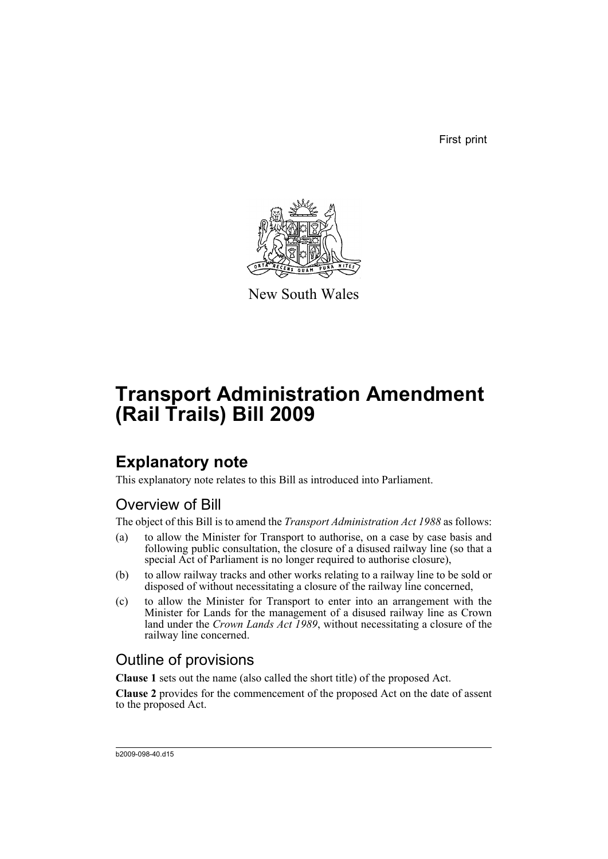First print



New South Wales

# **Transport Administration Amendment (Rail Trails) Bill 2009**

## **Explanatory note**

This explanatory note relates to this Bill as introduced into Parliament.

### Overview of Bill

The object of this Bill is to amend the *Transport Administration Act 1988* as follows:

- (a) to allow the Minister for Transport to authorise, on a case by case basis and following public consultation, the closure of a disused railway line (so that a special Act of Parliament is no longer required to authorise closure),
- (b) to allow railway tracks and other works relating to a railway line to be sold or disposed of without necessitating a closure of the railway line concerned,
- (c) to allow the Minister for Transport to enter into an arrangement with the Minister for Lands for the management of a disused railway line as Crown land under the *Crown Lands Act 1989*, without necessitating a closure of the railway line concerned.

### Outline of provisions

**Clause 1** sets out the name (also called the short title) of the proposed Act.

**Clause 2** provides for the commencement of the proposed Act on the date of assent to the proposed Act.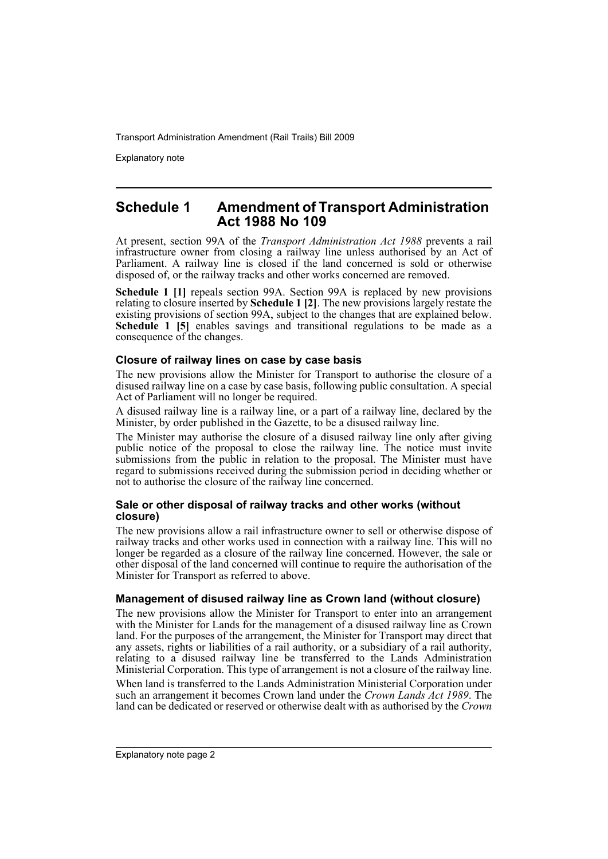Explanatory note

#### **Schedule 1 Amendment of Transport Administration Act 1988 No 109**

At present, section 99A of the *Transport Administration Act 1988* prevents a rail infrastructure owner from closing a railway line unless authorised by an Act of Parliament. A railway line is closed if the land concerned is sold or otherwise disposed of, or the railway tracks and other works concerned are removed.

**Schedule 1 [1]** repeals section 99A. Section 99A is replaced by new provisions relating to closure inserted by **Schedule 1 [2]**. The new provisions largely restate the existing provisions of section 99A, subject to the changes that are explained below. **Schedule 1 [5]** enables savings and transitional regulations to be made as a consequence of the changes.

#### **Closure of railway lines on case by case basis**

The new provisions allow the Minister for Transport to authorise the closure of a disused railway line on a case by case basis, following public consultation. A special Act of Parliament will no longer be required.

A disused railway line is a railway line, or a part of a railway line, declared by the Minister, by order published in the Gazette, to be a disused railway line.

The Minister may authorise the closure of a disused railway line only after giving public notice of the proposal to close the railway line. The notice must invite submissions from the public in relation to the proposal. The Minister must have regard to submissions received during the submission period in deciding whether or not to authorise the closure of the railway line concerned.

#### **Sale or other disposal of railway tracks and other works (without closure)**

The new provisions allow a rail infrastructure owner to sell or otherwise dispose of railway tracks and other works used in connection with a railway line. This will no longer be regarded as a closure of the railway line concerned. However, the sale or other disposal of the land concerned will continue to require the authorisation of the Minister for Transport as referred to above.

#### **Management of disused railway line as Crown land (without closure)**

The new provisions allow the Minister for Transport to enter into an arrangement with the Minister for Lands for the management of a disused railway line as Crown land. For the purposes of the arrangement, the Minister for Transport may direct that any assets, rights or liabilities of a rail authority, or a subsidiary of a rail authority, relating to a disused railway line be transferred to the Lands Administration Ministerial Corporation. This type of arrangement is not a closure of the railway line.

When land is transferred to the Lands Administration Ministerial Corporation under such an arrangement it becomes Crown land under the *Crown Lands Act 1989*. The land can be dedicated or reserved or otherwise dealt with as authorised by the *Crown*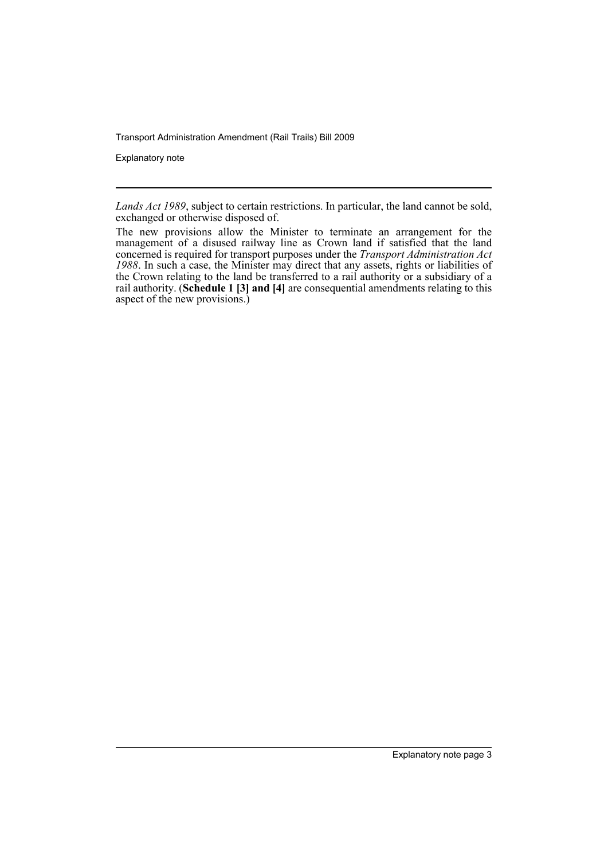Explanatory note

*Lands Act 1989*, subject to certain restrictions. In particular, the land cannot be sold, exchanged or otherwise disposed of.

The new provisions allow the Minister to terminate an arrangement for the management of a disused railway line as Crown land if satisfied that the land concerned is required for transport purposes under the *Transport Administration Act 1988*. In such a case, the Minister may direct that any assets, rights or liabilities of the Crown relating to the land be transferred to a rail authority or a subsidiary of a rail authority. (**Schedule 1 [3] and [4]** are consequential amendments relating to this aspect of the new provisions.)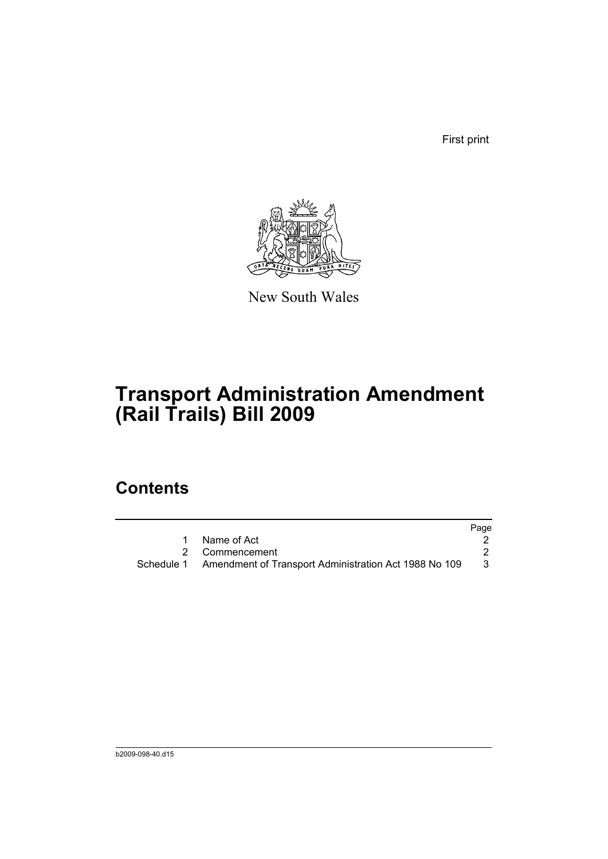First print



New South Wales

# **Transport Administration Amendment (Rail Trails) Bill 2009**

## **Contents**

|                                                                  | Page |
|------------------------------------------------------------------|------|
| Name of Act                                                      |      |
| 2 Commencement                                                   |      |
| Schedule 1 Amendment of Transport Administration Act 1988 No 109 | -3   |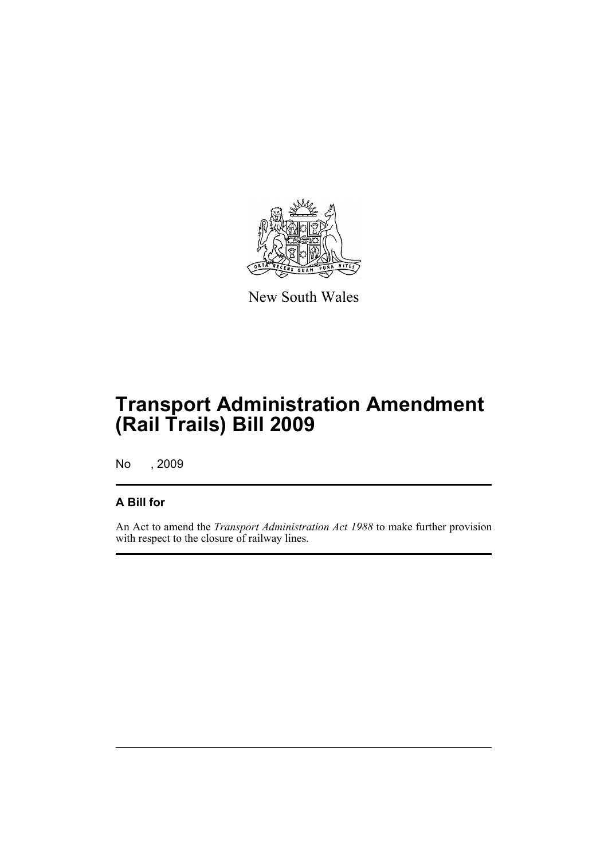

New South Wales

# **Transport Administration Amendment (Rail Trails) Bill 2009**

No , 2009

#### **A Bill for**

An Act to amend the *Transport Administration Act 1988* to make further provision with respect to the closure of railway lines.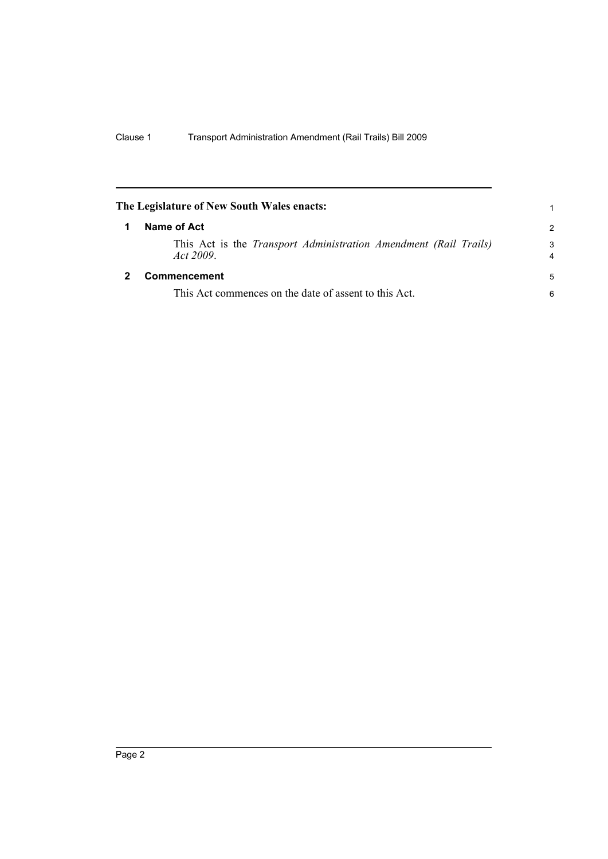<span id="page-7-1"></span><span id="page-7-0"></span>

| The Legislature of New South Wales enacts:                                           | 1                   |
|--------------------------------------------------------------------------------------|---------------------|
| Name of Act                                                                          | $\mathcal{P}$       |
| This Act is the <i>Transport Administration Amendment (Rail Trails)</i><br>Act 2009. | 3<br>$\overline{4}$ |
| Commencement                                                                         | 5                   |
| This Act commences on the date of assent to this Act.                                | 6                   |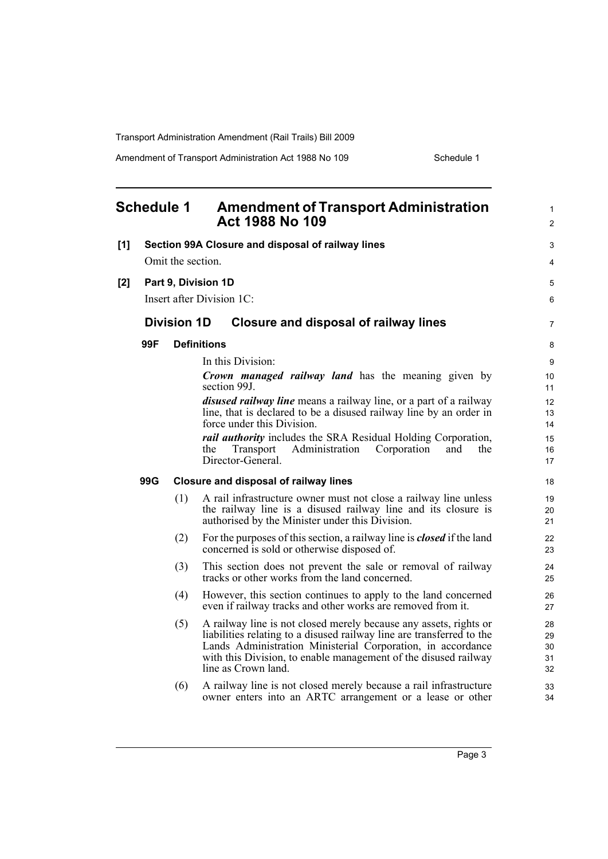Amendment of Transport Administration Act 1988 No 109 Schedule 1

<span id="page-8-0"></span>

|     | <b>Schedule 1</b>         |                           | <b>Amendment of Transport Administration</b><br><b>Act 1988 No 109</b>                                                                                                                                                                                                                              | $\mathbf{1}$<br>$\overline{2}$ |
|-----|---------------------------|---------------------------|-----------------------------------------------------------------------------------------------------------------------------------------------------------------------------------------------------------------------------------------------------------------------------------------------------|--------------------------------|
| [1] |                           |                           | Section 99A Closure and disposal of railway lines                                                                                                                                                                                                                                                   | 3                              |
|     | Omit the section.         |                           |                                                                                                                                                                                                                                                                                                     | 4                              |
| [2] | Part 9, Division 1D       |                           |                                                                                                                                                                                                                                                                                                     | 5                              |
|     |                           | Insert after Division 1C: |                                                                                                                                                                                                                                                                                                     |                                |
|     |                           | <b>Division 1D</b>        | <b>Closure and disposal of railway lines</b>                                                                                                                                                                                                                                                        | $\overline{7}$                 |
|     | 99F<br><b>Definitions</b> |                           |                                                                                                                                                                                                                                                                                                     | 8                              |
|     |                           |                           | In this Division:                                                                                                                                                                                                                                                                                   | 9                              |
|     |                           |                           | <b>Crown managed railway land</b> has the meaning given by<br>section 99J                                                                                                                                                                                                                           | 10<br>11                       |
|     |                           |                           | <i>disused railway line</i> means a railway line, or a part of a railway<br>line, that is declared to be a disused railway line by an order in<br>force under this Division.                                                                                                                        | 12<br>13<br>14                 |
|     |                           |                           | <i>rail authority</i> includes the SRA Residual Holding Corporation,<br>Transport<br>Administration<br>Corporation<br>and<br>the<br>the<br>Director-General.                                                                                                                                        | 15<br>16<br>17                 |
|     | 99G                       |                           | <b>Closure and disposal of railway lines</b>                                                                                                                                                                                                                                                        | 18                             |
|     |                           | (1)                       | A rail infrastructure owner must not close a railway line unless<br>the railway line is a disused railway line and its closure is<br>authorised by the Minister under this Division.                                                                                                                | 19<br>20<br>21                 |
|     |                           | (2)                       | For the purposes of this section, a railway line is <b><i>closed</i></b> if the land<br>concerned is sold or otherwise disposed of.                                                                                                                                                                 | 22<br>23                       |
|     |                           | (3)                       | This section does not prevent the sale or removal of railway<br>tracks or other works from the land concerned.                                                                                                                                                                                      | 24<br>25                       |
|     |                           | (4)                       | However, this section continues to apply to the land concerned<br>even if railway tracks and other works are removed from it.                                                                                                                                                                       | 26<br>27                       |
|     |                           | (5)                       | A railway line is not closed merely because any assets, rights or<br>liabilities relating to a disused railway line are transferred to the<br>Lands Administration Ministerial Corporation, in accordance<br>with this Division, to enable management of the disused railway<br>line as Crown land. | 28<br>29<br>30<br>31<br>32     |
|     |                           | (6)                       | A railway line is not closed merely because a rail infrastructure<br>owner enters into an ARTC arrangement or a lease or other                                                                                                                                                                      | 33<br>34                       |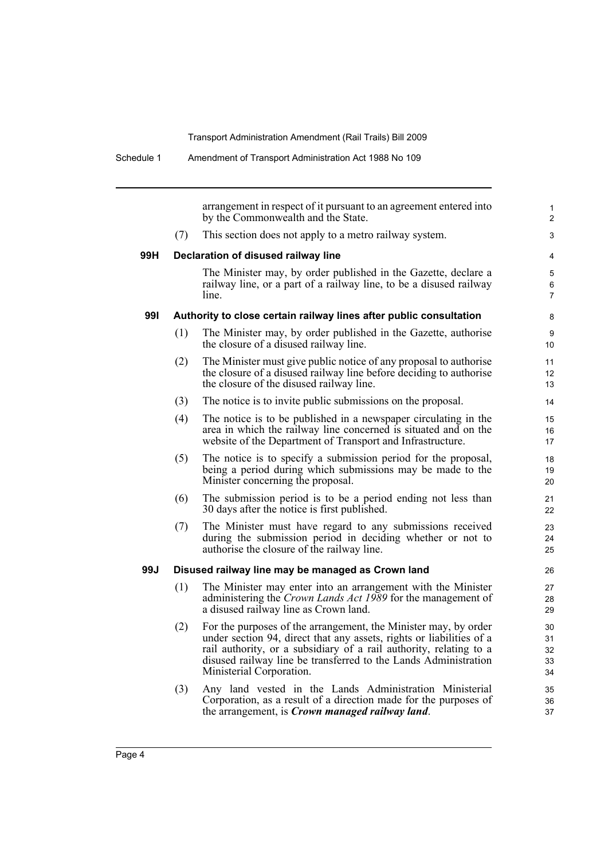|     |                                                                    | arrangement in respect of it pursuant to an agreement entered into<br>by the Commonwealth and the State.                                                                                                                                                                                                     | $\mathbf{1}$<br>$\overline{2}$ |  |
|-----|--------------------------------------------------------------------|--------------------------------------------------------------------------------------------------------------------------------------------------------------------------------------------------------------------------------------------------------------------------------------------------------------|--------------------------------|--|
|     | (7)                                                                | This section does not apply to a metro railway system.                                                                                                                                                                                                                                                       | 3                              |  |
| 99H | Declaration of disused railway line                                |                                                                                                                                                                                                                                                                                                              |                                |  |
|     |                                                                    | The Minister may, by order published in the Gazette, declare a<br>railway line, or a part of a railway line, to be a disused railway<br>line.                                                                                                                                                                | 5<br>6<br>7                    |  |
| 991 | Authority to close certain railway lines after public consultation |                                                                                                                                                                                                                                                                                                              |                                |  |
|     | (1)                                                                | The Minister may, by order published in the Gazette, authorise<br>the closure of a disused railway line.                                                                                                                                                                                                     | 9<br>10                        |  |
|     | (2)                                                                | The Minister must give public notice of any proposal to authorise<br>the closure of a disused railway line before deciding to authorise<br>the closure of the disused railway line.                                                                                                                          | 11<br>12<br>13                 |  |
|     | (3)                                                                | The notice is to invite public submissions on the proposal.                                                                                                                                                                                                                                                  | 14                             |  |
|     | (4)                                                                | The notice is to be published in a newspaper circulating in the<br>area in which the railway line concerned is situated and on the<br>website of the Department of Transport and Infrastructure.                                                                                                             | 15<br>16<br>17                 |  |
|     | (5)                                                                | The notice is to specify a submission period for the proposal,<br>being a period during which submissions may be made to the<br>Minister concerning the proposal.                                                                                                                                            | 18<br>19<br>20                 |  |
|     | (6)                                                                | The submission period is to be a period ending not less than<br>30 days after the notice is first published.                                                                                                                                                                                                 | 21<br>22                       |  |
|     | (7)                                                                | The Minister must have regard to any submissions received<br>during the submission period in deciding whether or not to<br>authorise the closure of the railway line.                                                                                                                                        | 23<br>24<br>25                 |  |
| 99J | Disused railway line may be managed as Crown land                  |                                                                                                                                                                                                                                                                                                              |                                |  |
|     | (1)                                                                | The Minister may enter into an arrangement with the Minister<br>administering the Crown Lands Act 1989 for the management of<br>a disused railway line as Crown land.                                                                                                                                        | 27<br>28<br>29                 |  |
|     | (2)                                                                | For the purposes of the arrangement, the Minister may, by order<br>under section 94, direct that any assets, rights or liabilities of a<br>rail authority, or a subsidiary of a rail authority, relating to a<br>disused railway line be transferred to the Lands Administration<br>Ministerial Corporation. | 30<br>31<br>32<br>33<br>34     |  |
|     | (3)                                                                | Any land vested in the Lands Administration Ministerial<br>Corporation, as a result of a direction made for the purposes of<br>the arrangement, is <i>Crown managed railway land</i> .                                                                                                                       | 35<br>36<br>37                 |  |
|     |                                                                    |                                                                                                                                                                                                                                                                                                              |                                |  |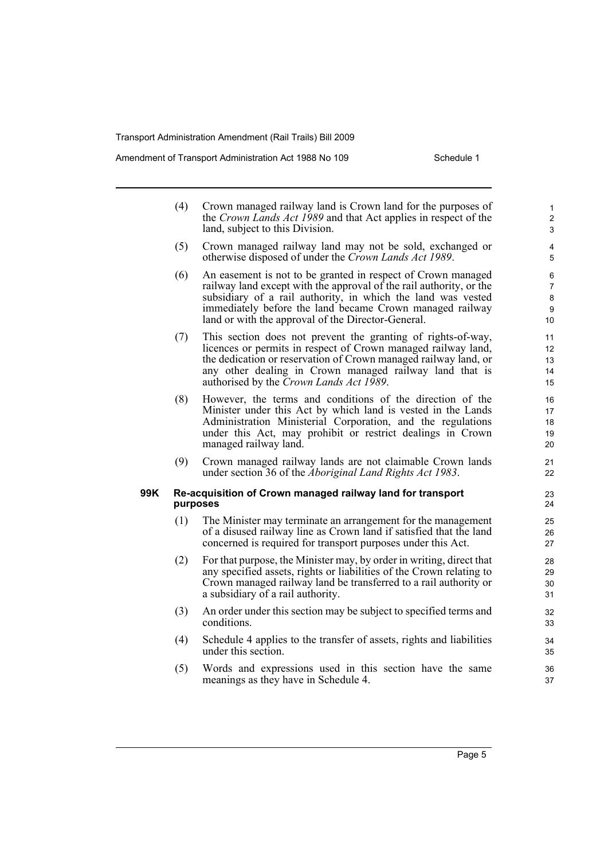#### Amendment of Transport Administration Act 1988 No 109 Schedule 1

|     | (4)                                                                    | Crown managed railway land is Crown land for the purposes of<br>the Crown Lands Act 1989 and that Act applies in respect of the<br>land, subject to this Division.                                                                                                                                                    | $\mathbf{1}$<br>$\overline{\mathbf{c}}$<br>3 |
|-----|------------------------------------------------------------------------|-----------------------------------------------------------------------------------------------------------------------------------------------------------------------------------------------------------------------------------------------------------------------------------------------------------------------|----------------------------------------------|
|     | (5)                                                                    | Crown managed railway land may not be sold, exchanged or<br>otherwise disposed of under the Crown Lands Act 1989.                                                                                                                                                                                                     | 4<br>5                                       |
|     | (6)                                                                    | An easement is not to be granted in respect of Crown managed<br>railway land except with the approval of the rail authority, or the<br>subsidiary of a rail authority, in which the land was vested<br>immediately before the land became Crown managed railway<br>land or with the approval of the Director-General. | 6<br>7<br>8<br>9<br>10                       |
|     | (7)                                                                    | This section does not prevent the granting of rights-of-way,<br>licences or permits in respect of Crown managed railway land,<br>the dedication or reservation of Crown managed railway land, or<br>any other dealing in Crown managed railway land that is<br>authorised by the Crown Lands Act 1989.                | 11<br>12<br>13<br>14<br>15                   |
|     | (8)                                                                    | However, the terms and conditions of the direction of the<br>Minister under this Act by which land is vested in the Lands<br>Administration Ministerial Corporation, and the regulations<br>under this Act, may prohibit or restrict dealings in Crown<br>managed railway land.                                       | 16<br>17<br>18<br>19<br>20                   |
|     | (9)                                                                    | Crown managed railway lands are not claimable Crown lands<br>under section 36 of the <i>Aboriginal Land Rights Act 1983</i> .                                                                                                                                                                                         | 21<br>22                                     |
| 99K | Re-acquisition of Crown managed railway land for transport<br>purposes |                                                                                                                                                                                                                                                                                                                       |                                              |
|     | (1)                                                                    | The Minister may terminate an arrangement for the management<br>of a disused railway line as Crown land if satisfied that the land<br>concerned is required for transport purposes under this Act.                                                                                                                    | 25<br>26<br>27                               |
|     | (2)                                                                    | For that purpose, the Minister may, by order in writing, direct that<br>any specified assets, rights or liabilities of the Crown relating to<br>Crown managed railway land be transferred to a rail authority or<br>a subsidiary of a rail authority.                                                                 | 28<br>29<br>$30\,$<br>31                     |
|     | (3)                                                                    | An order under this section may be subject to specified terms and<br>conditions.                                                                                                                                                                                                                                      | 32<br>33                                     |
|     | (4)                                                                    | Schedule 4 applies to the transfer of assets, rights and liabilities<br>under this section.                                                                                                                                                                                                                           | 34<br>35                                     |

(5) Words and expressions used in this section have the same meanings as they have in Schedule 4.

36 37